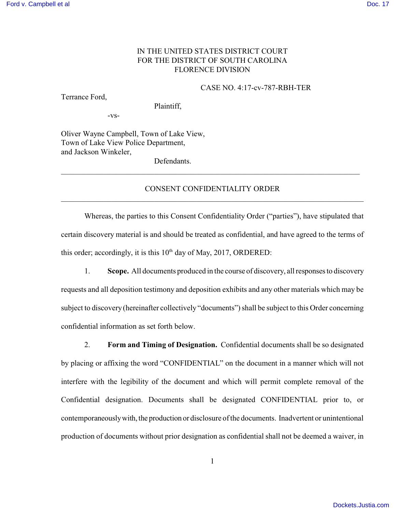## IN THE UNITED STATES DISTRICT COURT FOR THE DISTRICT OF SOUTH CAROLINA FLORENCE DIVISION

#### CASE NO. 4:17-cv-787-RBH-TER

Terrance Ford,

Plaintiff,

-vs-

Oliver Wayne Campbell, Town of Lake View, Town of Lake View Police Department, and Jackson Winkeler,

Defendants.

# CONSENT CONFIDENTIALITY ORDER \_\_\_\_\_\_\_\_\_\_\_\_\_\_\_\_\_\_\_\_\_\_\_\_\_\_\_\_\_\_\_\_\_\_\_\_\_\_\_\_\_\_\_\_\_\_\_\_\_\_\_\_\_\_\_\_\_\_\_\_\_\_\_\_\_\_\_\_\_\_\_\_\_\_\_\_\_\_

\_\_\_\_\_\_\_\_\_\_\_\_\_\_\_\_\_\_\_\_\_\_\_\_\_\_\_\_\_\_\_\_\_\_\_\_\_\_\_\_\_\_\_\_\_\_\_\_\_\_\_\_\_\_\_\_\_\_\_\_\_\_\_\_\_\_\_\_\_\_\_\_\_\_\_\_\_

Whereas, the parties to this Consent Confidentiality Order ("parties"), have stipulated that certain discovery material is and should be treated as confidential, and have agreed to the terms of this order; accordingly, it is this  $10<sup>th</sup>$  day of May, 2017, ORDERED:

1. **Scope.** All documents produced in the course of discovery, all responses to discovery

requests and all deposition testimony and deposition exhibits and any other materials which may be subject to discovery (hereinafter collectively "documents") shall be subject to this Order concerning confidential information as set forth below.

2. **Form and Timing of Designation.** Confidential documents shall be so designated by placing or affixing the word "CONFIDENTIAL" on the document in a manner which will not interfere with the legibility of the document and which will permit complete removal of the Confidential designation. Documents shall be designated CONFIDENTIAL prior to, or contemporaneously with, the production or disclosure of the documents. Inadvertent or unintentional production of documents without prior designation as confidential shall not be deemed a waiver, in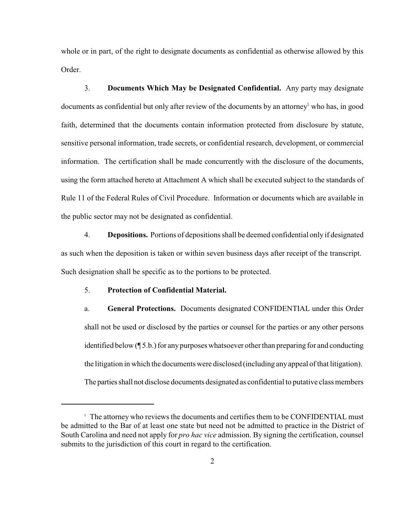whole or in part, of the right to designate documents as confidential as otherwise allowed by this Order.

3. **Documents Which May be Designated Confidential.** Any party may designate documents as confidential but only after review of the documents by an attorney who has, in good faith, determined that the documents contain information protected from disclosure by statute, sensitive personal information, trade secrets, or confidential research, development, or commercial information. The certification shall be made concurrently with the disclosure of the documents, using the form attached hereto at Attachment A which shall be executed subject to the standards of Rule 11 of the Federal Rules of Civil Procedure. Information or documents which are available in the public sector may not be designated as confidential.

4. **Depositions.** Portions of depositions shall be deemed confidential only if designated as such when the deposition is taken or within seven business days after receipt of the transcript. Such designation shall be specific as to the portions to be protected.

#### 5. **Protection of Confidential Material.**

a. **General Protections.** Documents designated CONFIDENTIAL under this Order shall not be used or disclosed by the parties or counsel for the parties or any other persons identified below (¶ 5.b.) for any purposes whatsoever other than preparing for and conducting the litigation in which the documents were disclosed (including any appeal of that litigation). The parties shall not disclose documents designated as confidential to putative class members

 $\perp$  The attorney who reviews the documents and certifies them to be CONFIDENTIAL must be admitted to the Bar of at least one state but need not be admitted to practice in the District of South Carolina and need not apply for *pro hac vice* admission. By signing the certification, counsel submits to the jurisdiction of this court in regard to the certification.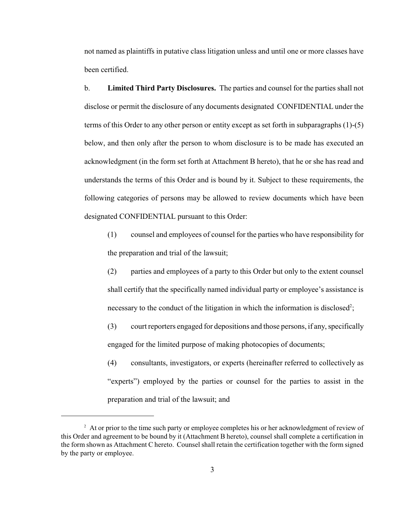not named as plaintiffs in putative class litigation unless and until one or more classes have been certified.

b. **Limited Third Party Disclosures.** The parties and counsel for the parties shall not disclose or permit the disclosure of any documents designated CONFIDENTIAL under the terms of this Order to any other person or entity except as set forth in subparagraphs (1)-(5) below, and then only after the person to whom disclosure is to be made has executed an acknowledgment (in the form set forth at Attachment B hereto), that he or she has read and understands the terms of this Order and is bound by it. Subject to these requirements, the following categories of persons may be allowed to review documents which have been designated CONFIDENTIAL pursuant to this Order:

(1) counsel and employees of counsel for the parties who have responsibility for the preparation and trial of the lawsuit;

(2) parties and employees of a party to this Order but only to the extent counsel shall certify that the specifically named individual party or employee's assistance is necessary to the conduct of the litigation in which the information is disclosed<sup>2</sup>;

(3) court reporters engaged for depositions and those persons, if any, specifically engaged for the limited purpose of making photocopies of documents;

(4) consultants, investigators, or experts (hereinafter referred to collectively as "experts") employed by the parties or counsel for the parties to assist in the preparation and trial of the lawsuit; and

<sup>&</sup>lt;sup>2</sup> At or prior to the time such party or employee completes his or her acknowledgment of review of this Order and agreement to be bound by it (Attachment B hereto), counsel shall complete a certification in the form shown as Attachment C hereto. Counsel shall retain the certification together with the form signed by the party or employee.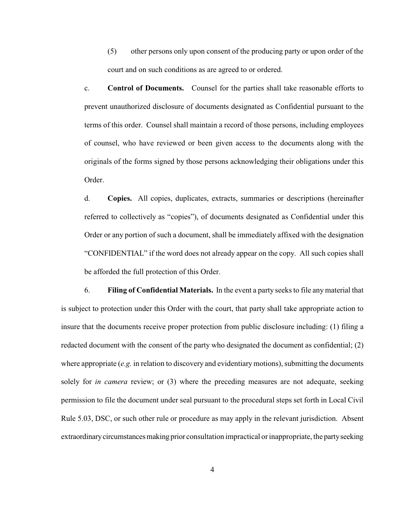(5) other persons only upon consent of the producing party or upon order of the court and on such conditions as are agreed to or ordered.

c. **Control of Documents.** Counsel for the parties shall take reasonable efforts to prevent unauthorized disclosure of documents designated as Confidential pursuant to the terms of this order. Counsel shall maintain a record of those persons, including employees of counsel, who have reviewed or been given access to the documents along with the originals of the forms signed by those persons acknowledging their obligations under this Order.

d. **Copies.** All copies, duplicates, extracts, summaries or descriptions (hereinafter referred to collectively as "copies"), of documents designated as Confidential under this Order or any portion of such a document, shall be immediately affixed with the designation "CONFIDENTIAL" if the word does not already appear on the copy. All such copies shall be afforded the full protection of this Order.

6. **Filing of Confidential Materials.**In the event a party seeks to file any material that is subject to protection under this Order with the court, that party shall take appropriate action to insure that the documents receive proper protection from public disclosure including: (1) filing a redacted document with the consent of the party who designated the document as confidential; (2) where appropriate  $(e.g.$  in relation to discovery and evidentiary motions), submitting the documents solely for *in camera* review; or (3) where the preceding measures are not adequate, seeking permission to file the document under seal pursuant to the procedural steps set forth in Local Civil Rule 5.03, DSC, or such other rule or procedure as may apply in the relevant jurisdiction. Absent extraordinary circumstances making prior consultation impractical or inappropriate, the party seeking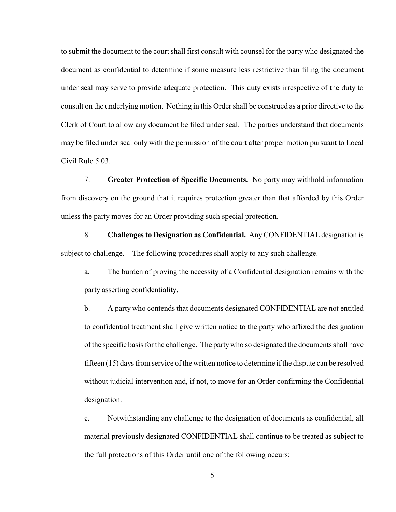to submit the document to the court shall first consult with counsel for the party who designated the document as confidential to determine if some measure less restrictive than filing the document under seal may serve to provide adequate protection. This duty exists irrespective of the duty to consult on the underlying motion. Nothing in this Order shall be construed as a prior directive to the Clerk of Court to allow any document be filed under seal. The parties understand that documents may be filed under seal only with the permission of the court after proper motion pursuant to Local Civil Rule 5.03.

7. **Greater Protection of Specific Documents.** No party may withhold information from discovery on the ground that it requires protection greater than that afforded by this Order unless the party moves for an Order providing such special protection.

8. **Challenges to Designation as Confidential.** Any CONFIDENTIAL designation is subject to challenge. The following procedures shall apply to any such challenge.

a. The burden of proving the necessity of a Confidential designation remains with the party asserting confidentiality.

b. A party who contends that documents designated CONFIDENTIAL are not entitled to confidential treatment shall give written notice to the party who affixed the designation of the specific basis for the challenge. The party who so designated the documents shall have fifteen (15) days from service of the written notice to determine if the dispute can be resolved without judicial intervention and, if not, to move for an Order confirming the Confidential designation.

c. Notwithstanding any challenge to the designation of documents as confidential, all material previously designated CONFIDENTIAL shall continue to be treated as subject to the full protections of this Order until one of the following occurs:

5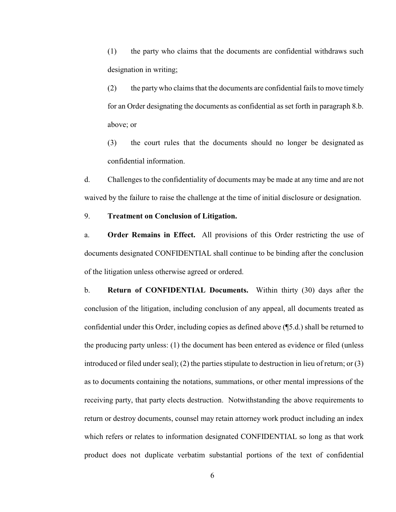(1) the party who claims that the documents are confidential withdraws such designation in writing;

(2) the party who claims that the documents are confidential fails to move timely for an Order designating the documents as confidential as set forth in paragraph 8.b. above; or

(3) the court rules that the documents should no longer be designated as confidential information.

d. Challenges to the confidentiality of documents may be made at any time and are not waived by the failure to raise the challenge at the time of initial disclosure or designation.

#### 9. **Treatment on Conclusion of Litigation.**

a. **Order Remains in Effect.** All provisions of this Order restricting the use of documents designated CONFIDENTIAL shall continue to be binding after the conclusion of the litigation unless otherwise agreed or ordered.

b. **Return of CONFIDENTIAL Documents.** Within thirty (30) days after the conclusion of the litigation, including conclusion of any appeal, all documents treated as confidential under this Order, including copies as defined above (¶5.d.) shall be returned to the producing party unless: (1) the document has been entered as evidence or filed (unless introduced or filed under seal); (2) the parties stipulate to destruction in lieu of return; or (3) as to documents containing the notations, summations, or other mental impressions of the receiving party, that party elects destruction.Notwithstanding the above requirements to return or destroy documents, counsel may retain attorney work product including an index which refers or relates to information designated CONFIDENTIAL so long as that work product does not duplicate verbatim substantial portions of the text of confidential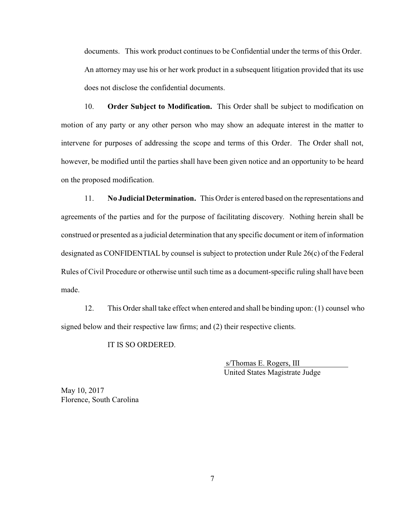documents. This work product continues to be Confidential under the terms of this Order. An attorney may use his or her work product in a subsequent litigation provided that its use does not disclose the confidential documents.

10. **Order Subject to Modification.** This Order shall be subject to modification on motion of any party or any other person who may show an adequate interest in the matter to intervene for purposes of addressing the scope and terms of this Order. The Order shall not, however, be modified until the parties shall have been given notice and an opportunity to be heard on the proposed modification.

11. **No Judicial Determination.** This Order is entered based on the representations and agreements of the parties and for the purpose of facilitating discovery. Nothing herein shall be construed or presented as a judicial determination that any specific document or item of information designated as CONFIDENTIAL by counsel is subject to protection under Rule 26(c) of the Federal Rules of Civil Procedure or otherwise until such time as a document-specific ruling shall have been made.

12. This Order shall take effect when entered and shall be binding upon: (1) counsel who signed below and their respective law firms; and (2) their respective clients.

IT IS SO ORDERED.

 s/Thomas E. Rogers, III United States Magistrate Judge

May 10, 2017 Florence, South Carolina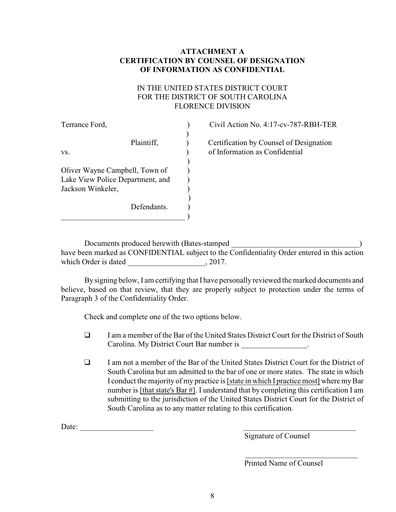# **ATTACHMENT A CERTIFICATION BY COUNSEL OF DESIGNATION OF INFORMATION AS CONFIDENTIAL**

# IN THE UNITED STATES DISTRICT COURT FOR THE DISTRICT OF SOUTH CAROLINA FLORENCE DIVISION

| Terrance Ford,                   | Civil Action No. 4:17-cv-787-RBH-TER    |
|----------------------------------|-----------------------------------------|
|                                  |                                         |
| Plaintiff,                       | Certification by Counsel of Designation |
| VS.                              | of Information as Confidential          |
|                                  |                                         |
| Oliver Wayne Campbell, Town of   |                                         |
| Lake View Police Department, and |                                         |
| Jackson Winkeler,                |                                         |
|                                  |                                         |
| Defendants.                      |                                         |
|                                  |                                         |

Documents produced herewith (Bates-stamped have been marked as CONFIDENTIAL subject to the Confidentiality Order entered in this action which Order is dated  $, 2017$ .

By signing below, I am certifying that I have personally reviewed the marked documents and believe, based on that review, that they are properly subject to protection under the terms of Paragraph 3 of the Confidentiality Order.

Check and complete one of the two options below.

- $\Box$  I am a member of the Bar of the United States District Court for the District of South Carolina. My District Court Bar number is \_\_\_\_\_\_\_\_\_\_\_\_\_\_\_\_\_.
- $\Box$  I am not a member of the Bar of the United States District Court for the District of South Carolina but am admitted to the bar of one or more states. The state in which I conduct the majority of my practice is [state in which I practice most] where my Bar number is [that state's Bar #]. I understand that by completing this certification I am submitting to the jurisdiction of the United States District Court for the District of South Carolina as to any matter relating to this certification.

Date:

Signature of Counsel

Printed Name of Counsel

 $\mathcal{L}_\text{max}$  , and the set of the set of the set of the set of the set of the set of the set of the set of the set of the set of the set of the set of the set of the set of the set of the set of the set of the set of the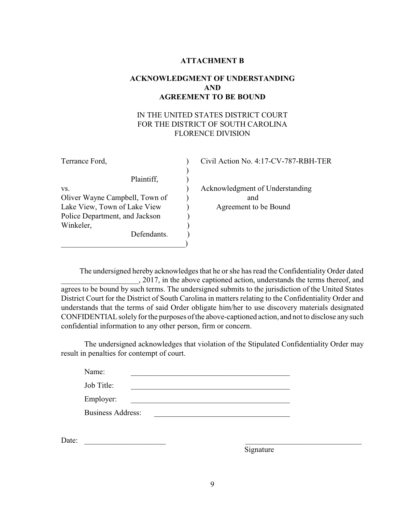## **ATTACHMENT B**

# **ACKNOWLEDGMENT OF UNDERSTANDING AND AGREEMENT TO BE BOUND**

# IN THE UNITED STATES DISTRICT COURT FOR THE DISTRICT OF SOUTH CAROLINA FLORENCE DIVISION

| Terrance Ford,                 |  | Civil Action No. 4 |
|--------------------------------|--|--------------------|
|                                |  |                    |
| Plaintiff,                     |  |                    |
| VS.                            |  | Acknowledgment     |
| Oliver Wayne Campbell, Town of |  | and                |
| Lake View, Town of Lake View   |  | Agreement to       |
| Police Department, and Jackson |  |                    |
| Winkeler,                      |  |                    |
| Defendants.                    |  |                    |
|                                |  |                    |

# $4:17$ -CV-787-RBH-TER of Understanding o be Bound

 The undersigned hereby acknowledges that he or she has read the Confidentiality Order dated \_\_\_\_\_\_\_\_\_\_\_\_\_\_\_\_\_\_\_\_, 2017, in the above captioned action, understands the terms thereof, and agrees to be bound by such terms. The undersigned submits to the jurisdiction of the United States District Court for the District of South Carolina in matters relating to the Confidentiality Order and understands that the terms of said Order obligate him/her to use discovery materials designated CONFIDENTIAL solely for the purposes of the above-captioned action, and not to disclose any such confidential information to any other person, firm or concern.

The undersigned acknowledges that violation of the Stipulated Confidentiality Order may result in penalties for contempt of court.

| Name:                    |  |  |  |
|--------------------------|--|--|--|
| Job Title:               |  |  |  |
| Employer:                |  |  |  |
| <b>Business Address:</b> |  |  |  |

Date: \_\_\_\_\_\_\_\_\_\_\_\_\_\_\_\_\_\_\_\_\_ \_\_\_\_\_\_\_\_\_\_\_\_\_\_\_\_\_\_\_\_\_\_\_\_\_\_\_\_\_\_

Signature